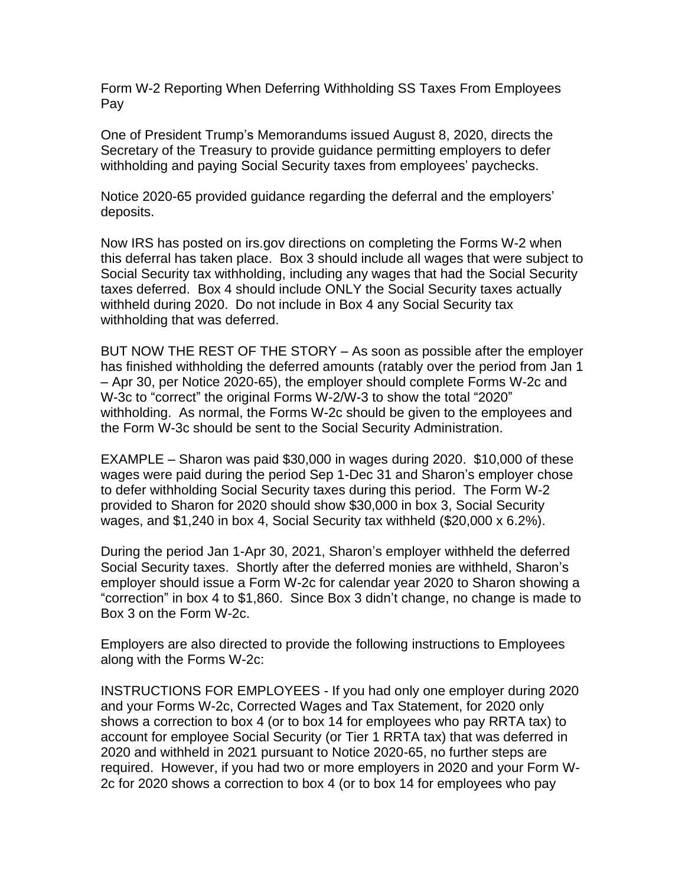Form W-2 Reporting When Deferring Withholding SS Taxes From Employees Pay

One of President Trump's Memorandums issued August 8, 2020, directs the Secretary of the Treasury to provide guidance permitting employers to defer withholding and paying Social Security taxes from employees' paychecks.

Notice 2020-65 provided guidance regarding the deferral and the employers' deposits.

Now IRS has posted on irs.gov directions on completing the Forms W-2 when this deferral has taken place. Box 3 should include all wages that were subject to Social Security tax withholding, including any wages that had the Social Security taxes deferred. Box 4 should include ONLY the Social Security taxes actually withheld during 2020. Do not include in Box 4 any Social Security tax withholding that was deferred.

BUT NOW THE REST OF THE STORY – As soon as possible after the employer has finished withholding the deferred amounts (ratably over the period from Jan 1 – Apr 30, per Notice 2020-65), the employer should complete Forms W-2c and W-3c to "correct" the original Forms W-2/W-3 to show the total "2020" withholding. As normal, the Forms W-2c should be given to the employees and the Form W-3c should be sent to the Social Security Administration.

EXAMPLE – Sharon was paid \$30,000 in wages during 2020. \$10,000 of these wages were paid during the period Sep 1-Dec 31 and Sharon's employer chose to defer withholding Social Security taxes during this period. The Form W-2 provided to Sharon for 2020 should show \$30,000 in box 3, Social Security wages, and \$1,240 in box 4, Social Security tax withheld (\$20,000 x 6.2%).

During the period Jan 1-Apr 30, 2021, Sharon's employer withheld the deferred Social Security taxes. Shortly after the deferred monies are withheld, Sharon's employer should issue a Form W-2c for calendar year 2020 to Sharon showing a "correction" in box 4 to \$1,860. Since Box 3 didn't change, no change is made to Box 3 on the Form W-2c.

Employers are also directed to provide the following instructions to Employees along with the Forms W-2c:

INSTRUCTIONS FOR EMPLOYEES - If you had only one employer during 2020 and your Forms W-2c, Corrected Wages and Tax Statement, for 2020 only shows a correction to box 4 (or to box 14 for employees who pay RRTA tax) to account for employee Social Security (or Tier 1 RRTA tax) that was deferred in 2020 and withheld in 2021 pursuant to Notice 2020-65, no further steps are required. However, if you had two or more employers in 2020 and your Form W-2c for 2020 shows a correction to box 4 (or to box 14 for employees who pay